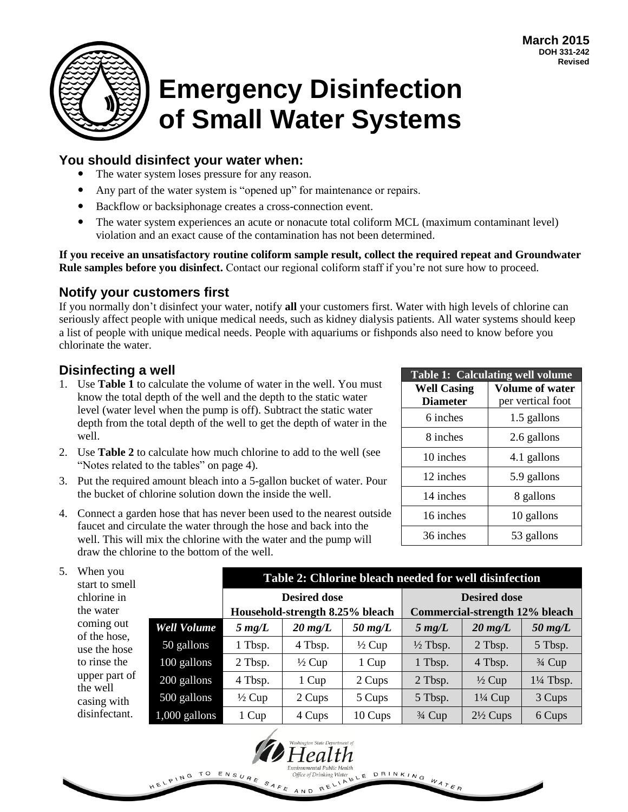

# **Emergency Disinfection of Small Water Systems**

## **You should disinfect your water when:**

- The water system loses pressure for any reason.
- Any part of the water system is "opened up" for maintenance or repairs.
- Backflow or backsiphonage creates a cross-connection event.
- The water system experiences an acute or nonacute total coliform MCL (maximum contaminant level) violation and an exact cause of the contamination has not been determined.

**If you receive an unsatisfactory routine coliform sample result, collect the required repeat and Groundwater Rule samples before you disinfect.** Contact our regional coliform staff if you're not sure how to proceed.

## **Notify your customers first**

If you normally don't disinfect your water, notify **all** your customers first. Water with high levels of chlorine can seriously affect people with unique medical needs, such as kidney dialysis patients. All water systems should keep a list of people with unique medical needs. People with aquariums or fishponds also need to know before you chlorinate the water.

## **Disinfecting a well**

- 1. Use **Table 1** to calculate the volume of water in the well. You must know the total depth of the well and the depth to the static water level (water level when the pump is off). Subtract the static water depth from the total depth of the well to get the depth of water in the well.
- 2. Use **Table 2** to calculate how much chlorine to add to the well (see "Notes related to the tables" on page 4).
- 3. Put the required amount bleach into a 5-gallon bucket of water. Pour the bucket of chlorine solution down the inside the well.
- 4. Connect a garden hose that has never been used to the nearest outside faucet and circulate the water through the hose and back into the well. This will mix the chlorine with the water and the pump will draw the chlorine to the bottom of the well.

| <b>Table 1: Calculating well volume</b> |                        |  |  |  |  |
|-----------------------------------------|------------------------|--|--|--|--|
| <b>Well Casing</b>                      | <b>Volume of water</b> |  |  |  |  |
| <b>Diameter</b>                         | per vertical foot      |  |  |  |  |
| 6 inches                                | 1.5 gallons            |  |  |  |  |
| 8 inches                                | 2.6 gallons            |  |  |  |  |
| 10 inches                               | 4.1 gallons            |  |  |  |  |
| 12 inches                               | 5.9 gallons            |  |  |  |  |
| 14 inches                               | 8 gallons              |  |  |  |  |
| 16 inches                               | 10 gallons             |  |  |  |  |
| 36 inches                               | 53 gallons             |  |  |  |  |

DRINKING WATER

| 5. | When you<br>start to smell |                    | Table 2: Chlorine bleach needed for well disinfection |                                 |                   |                                |                     |                      |
|----|----------------------------|--------------------|-------------------------------------------------------|---------------------------------|-------------------|--------------------------------|---------------------|----------------------|
|    | chlorine in                |                    | <b>Desired dose</b>                                   |                                 |                   | <b>Desired dose</b>            |                     |                      |
|    | the water                  |                    |                                                       | Household-strength 8.25% bleach |                   | Commercial-strength 12% bleach |                     |                      |
|    | coming out<br>of the hose, | <b>Well Volume</b> | $5 \, mg/L$                                           | $20 \text{ mg/L}$               | $50 \text{ mg/L}$ | $5 \text{ mg/L}$               | $20 \text{ mg/L}$   | $50 \text{ mg/L}$    |
|    | use the hose               | 50 gallons         | 1 Tbsp.                                               | 4 Tbsp.                         | $\frac{1}{2}$ Cup | $\frac{1}{2}$ Tbsp.            | 2 Tbsp.             | 5 Tbsp.              |
|    | to rinse the               | 100 gallons        | 2 Tbsp.                                               | $\frac{1}{2}$ Cup               | 1 Cup             | 1 Tbsp.                        | 4 Tbsp.             | $\frac{3}{4}$ Cup    |
|    | upper part of<br>the well  | 200 gallons        | 4 Tbsp.                                               | 1 Cup                           | 2 Cups            | 2 Tbsp.                        | $\frac{1}{2}$ Cup   | $1\frac{1}{4}$ Tbsp. |
|    | casing with                | 500 gallons        | $\frac{1}{2}$ Cup                                     | 2 Cups                          | 5 Cups            | 5 Tbsp.                        | $1\frac{1}{4}$ Cup  | 3 Cups               |
|    | disinfectant.              | $1,000$ gallons    | 1 Cup                                                 | 4 Cups                          | 10 Cups           | $\frac{3}{4}$ Cup              | $2\frac{1}{2}$ Cups | 6 Cups               |

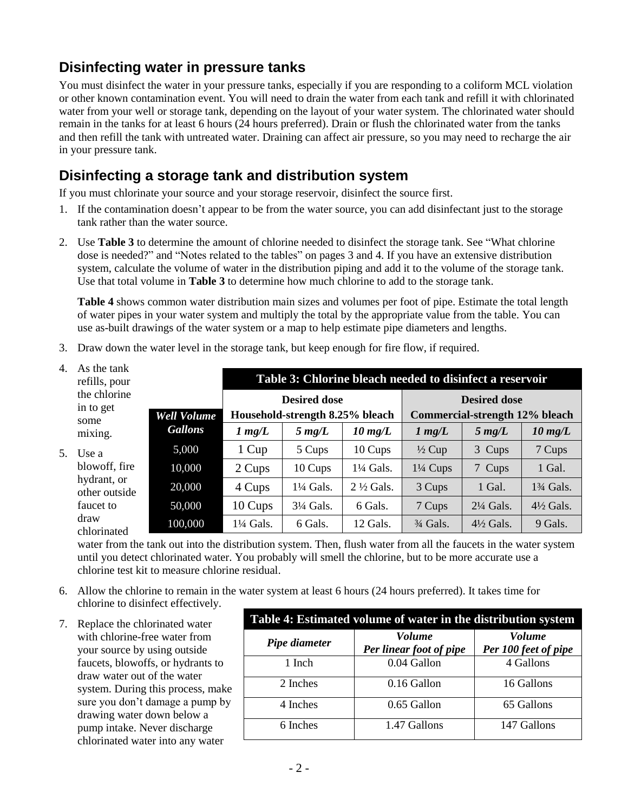# **Disinfecting water in pressure tanks**

You must disinfect the water in your pressure tanks, especially if you are responding to a coliform MCL violation or other known contamination event. You will need to drain the water from each tank and refill it with chlorinated water from your well or storage tank, depending on the layout of your water system. The chlorinated water should remain in the tanks for at least 6 hours (24 hours preferred). Drain or flush the chlorinated water from the tanks and then refill the tank with untreated water. Draining can affect air pressure, so you may need to recharge the air in your pressure tank.

## **Disinfecting a storage tank and distribution system**

If you must chlorinate your source and your storage reservoir, disinfect the source first.

- 1. If the contamination doesn't appear to be from the water source, you can add disinfectant just to the storage tank rather than the water source.
- 2. Use **Table 3** to determine the amount of chlorine needed to disinfect the storage tank. See "What chlorine dose is needed?" and "Notes related to the tables" on pages 3 and 4. If you have an extensive distribution system, calculate the volume of water in the distribution piping and add it to the volume of the storage tank. Use that total volume in **Table 3** to determine how much chlorine to add to the storage tank.

**Table 4** shows common water distribution main sizes and volumes per foot of pipe. Estimate the total length of water pipes in your water system and multiply the total by the appropriate value from the table. You can use as-built drawings of the water system or a map to help estimate pipe diameters and lengths.

3. Draw down the water level in the storage tank, but keep enough for fire flow, if required.

| As the tank<br>refills, pour      |                    | Table 3: Chlorine bleach needed to disinfect a reservoir |                                                        |                      |                                                       |                      |                      |  |
|-----------------------------------|--------------------|----------------------------------------------------------|--------------------------------------------------------|----------------------|-------------------------------------------------------|----------------------|----------------------|--|
| the chlorine<br>in to get<br>some | <b>Well Volume</b> |                                                          | <b>Desired dose</b><br>Household-strength 8.25% bleach |                      | <b>Desired dose</b><br>Commercial-strength 12% bleach |                      |                      |  |
| mixing.                           | <b>Gallons</b>     | $1 \, mg/L$                                              | $5 \, mg/L$                                            | $10 \text{ mg/L}$    | $1 \, mg/L$                                           | $5 \, mg/L$          | $10 \text{ mg/L}$    |  |
| Use a                             | 5,000              | 1 Cup                                                    | 5 Cups                                                 | 10 Cups              | $\frac{1}{2}$ Cup                                     | 3 Cups               | 7 Cups               |  |
| blowoff, fire                     | 10,000             | 2 Cups                                                   | 10 Cups                                                | 1¼ Gals.             | $1\frac{1}{4}$ Cups                                   | 7 Cups               | 1 Gal.               |  |
| hydrant, or<br>other outside      | 20,000             | 4 Cups                                                   | $1\frac{1}{4}$ Gals.                                   | $2\frac{1}{2}$ Gals. | 3 Cups                                                | 1 Gal.               | $1\frac{3}{4}$ Gals. |  |
| faucet to                         | 50,000             | 10 Cups                                                  | $3\frac{1}{4}$ Gals.                                   | 6 Gals.              | 7 Cups                                                | $2\frac{1}{4}$ Gals. | $4\frac{1}{2}$ Gals. |  |
| draw<br>chlorinated               | 100,000            | 1¼ Gals.                                                 | 6 Gals.                                                | 12 Gals.             | $\frac{3}{4}$ Gals.                                   | $4\frac{1}{2}$ Gals. | 9 Gals.              |  |

water from the tank out into the distribution system. Then, flush water from all the faucets in the water system until you detect chlorinated water. You probably will smell the chlorine, but to be more accurate use a chlorine test kit to measure chlorine residual.

- 6. Allow the chlorine to remain in the water system at least 6 hours (24 hours preferred). It takes time for chlorine to disinfect effectively.
- 7. Replace the chlorinated water with chlorine-free water from your source by using outside faucets, blowoffs, or hydrants to draw water out of the water system. During this process, make sure you don't damage a pump by drawing water down below a pump intake. Never discharge chlorinated water into any water

 $4.$ 

 $5<sub>l</sub>$ 

| Table 4: Estimated volume of water in the distribution system |                                          |                                       |  |  |  |  |
|---------------------------------------------------------------|------------------------------------------|---------------------------------------|--|--|--|--|
| Pipe diameter                                                 | <b>Volume</b><br>Per linear foot of pipe | <b>Volume</b><br>Per 100 feet of pipe |  |  |  |  |
| 1 Inch                                                        | 0.04 Gallon                              | 4 Gallons                             |  |  |  |  |
| 2 Inches                                                      | 0.16 Gallon                              | 16 Gallons                            |  |  |  |  |
| 4 Inches                                                      | 0.65 Gallon                              | 65 Gallons                            |  |  |  |  |
| 6 Inches                                                      | 1.47 Gallons                             | 147 Gallons                           |  |  |  |  |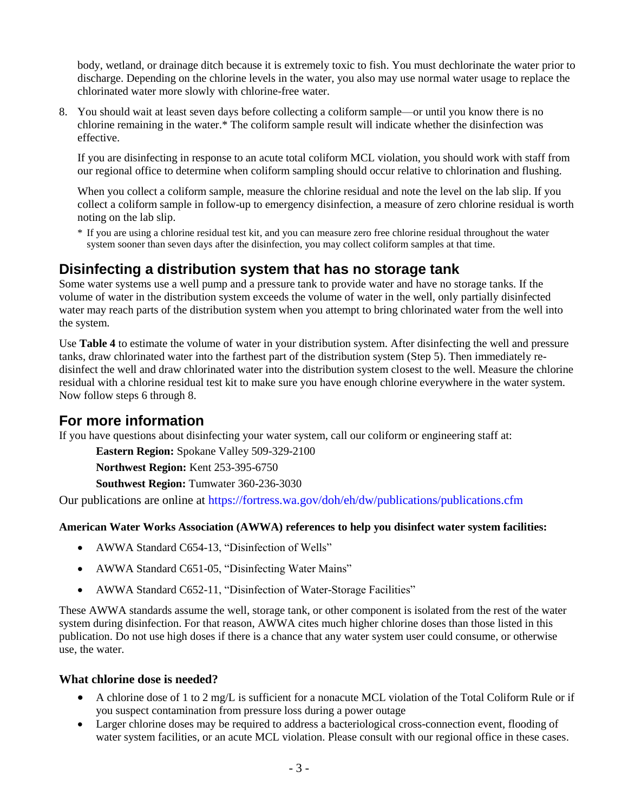body, wetland, or drainage ditch because it is extremely toxic to fish. You must dechlorinate the water prior to discharge. Depending on the chlorine levels in the water, you also may use normal water usage to replace the chlorinated water more slowly with chlorine-free water.

8. You should wait at least seven days before collecting a coliform sample—or until you know there is no chlorine remaining in the water.\* The coliform sample result will indicate whether the disinfection was effective.

If you are disinfecting in response to an acute total coliform MCL violation, you should work with staff from our regional office to determine when coliform sampling should occur relative to chlorination and flushing.

When you collect a coliform sample, measure the chlorine residual and note the level on the lab slip. If you collect a coliform sample in follow-up to emergency disinfection, a measure of zero chlorine residual is worth noting on the lab slip.

\* If you are using a chlorine residual test kit, and you can measure zero free chlorine residual throughout the water system sooner than seven days after the disinfection, you may collect coliform samples at that time.

## **Disinfecting a distribution system that has no storage tank**

Some water systems use a well pump and a pressure tank to provide water and have no storage tanks. If the volume of water in the distribution system exceeds the volume of water in the well, only partially disinfected water may reach parts of the distribution system when you attempt to bring chlorinated water from the well into the system.

Use **Table 4** to estimate the volume of water in your distribution system. After disinfecting the well and pressure tanks, draw chlorinated water into the farthest part of the distribution system (Step 5). Then immediately redisinfect the well and draw chlorinated water into the distribution system closest to the well. Measure the chlorine residual with a chlorine residual test kit to make sure you have enough chlorine everywhere in the water system. Now follow steps 6 through 8.

## **For more information**

If you have questions about disinfecting your water system, call our coliform or engineering staff at:

**Eastern Region:** Spokane Valley 509-329-2100

**Northwest Region:** Kent 253-395-6750

**Southwest Region:** Tumwater 360-236-3030

Our publications are online at<https://fortress.wa.gov/doh/eh/dw/publications/publications.cfm>

#### **American Water Works Association (AWWA) references to help you disinfect water system facilities:**

- AWWA Standard C654-13, "Disinfection of Wells"
- AWWA Standard C651-05, "Disinfecting Water Mains"
- AWWA Standard C652-11, "Disinfection of Water-Storage Facilities"

These AWWA standards assume the well, storage tank, or other component is isolated from the rest of the water system during disinfection. For that reason, AWWA cites much higher chlorine doses than those listed in this publication. Do not use high doses if there is a chance that any water system user could consume, or otherwise use, the water.

#### **What chlorine dose is needed?**

- A chlorine dose of 1 to 2 mg/L is sufficient for a nonacute MCL violation of the Total Coliform Rule or if you suspect contamination from pressure loss during a power outage
- Larger chlorine doses may be required to address a bacteriological cross-connection event, flooding of water system facilities, or an acute MCL violation. Please consult with our regional office in these cases.